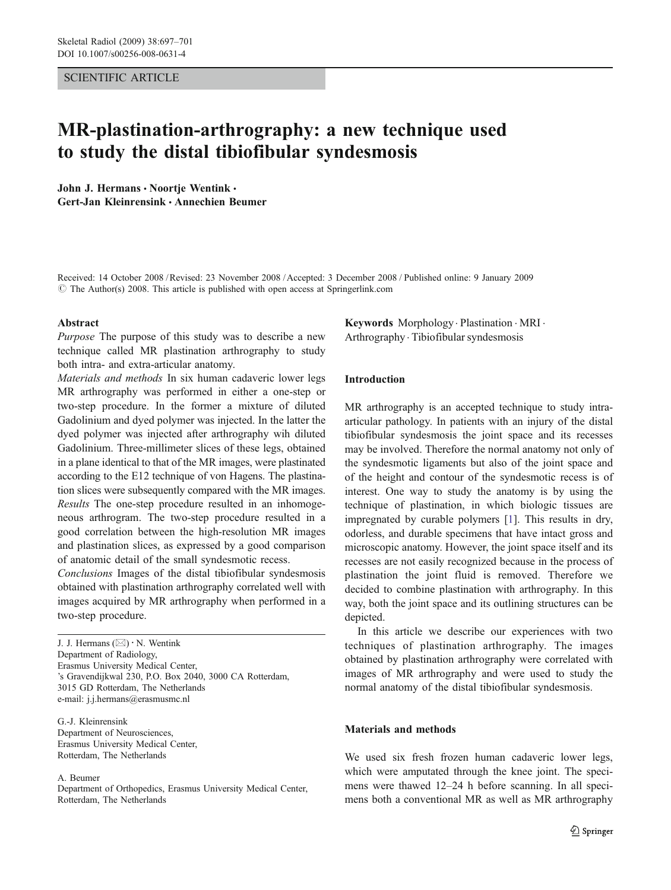## SCIENTIFIC ARTICLE

# MR-plastination-arthrography: a new technique used to study the distal tibiofibular syndesmosis

John J. Hermans · Noortje Wentink · Gert-Jan Kleinrensink & Annechien Beumer

Received: 14 October 2008 /Revised: 23 November 2008 /Accepted: 3 December 2008 / Published online: 9 January 2009  $\circ$  The Author(s) 2008. This article is published with open access at Springerlink.com

#### Abstract

Purpose The purpose of this study was to describe a new technique called MR plastination arthrography to study both intra- and extra-articular anatomy.

Materials and methods In six human cadaveric lower legs MR arthrography was performed in either a one-step or two-step procedure. In the former a mixture of diluted Gadolinium and dyed polymer was injected. In the latter the dyed polymer was injected after arthrography wih diluted Gadolinium. Three-millimeter slices of these legs, obtained in a plane identical to that of the MR images, were plastinated according to the E12 technique of von Hagens. The plastination slices were subsequently compared with the MR images. Results The one-step procedure resulted in an inhomogeneous arthrogram. The two-step procedure resulted in a good correlation between the high-resolution MR images and plastination slices, as expressed by a good comparison of anatomic detail of the small syndesmotic recess.

Conclusions Images of the distal tibiofibular syndesmosis obtained with plastination arthrography correlated well with images acquired by MR arthrography when performed in a two-step procedure.

J. J. Hermans (*\**) *:* N. Wentink Department of Radiology, Erasmus University Medical Center, 's Gravendijkwal 230, P.O. Box 2040, 3000 CA Rotterdam, 3015 GD Rotterdam, The Netherlands e-mail: j.j.hermans@erasmusmc.nl

G.-J. Kleinrensink Department of Neurosciences, Erasmus University Medical Center, Rotterdam, The Netherlands

#### A. Beumer

Department of Orthopedics, Erasmus University Medical Center, Rotterdam, The Netherlands

Keywords Morphology . Plastination . MRI . Arthrography . Tibiofibular syndesmosis

#### Introduction

MR arthrography is an accepted technique to study intraarticular pathology. In patients with an injury of the distal tibiofibular syndesmosis the joint space and its recesses may be involved. Therefore the normal anatomy not only of the syndesmotic ligaments but also of the joint space and of the height and contour of the syndesmotic recess is of interest. One way to study the anatomy is by using the technique of plastination, in which biologic tissues are impregnated by curable polymers [\[1](#page-4-0)]. This results in dry, odorless, and durable specimens that have intact gross and microscopic anatomy. However, the joint space itself and its recesses are not easily recognized because in the process of plastination the joint fluid is removed. Therefore we decided to combine plastination with arthrography. In this way, both the joint space and its outlining structures can be depicted.

In this article we describe our experiences with two techniques of plastination arthrography. The images obtained by plastination arthrography were correlated with images of MR arthrography and were used to study the normal anatomy of the distal tibiofibular syndesmosis.

# Materials and methods

We used six fresh frozen human cadaveric lower legs, which were amputated through the knee joint. The specimens were thawed 12–24 h before scanning. In all specimens both a conventional MR as well as MR arthrography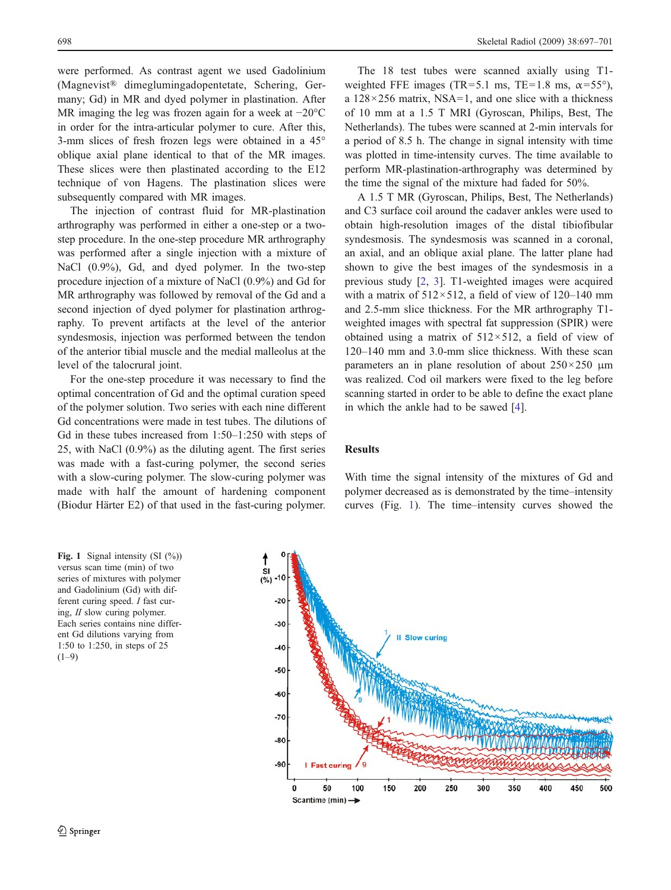were performed. As contrast agent we used Gadolinium (Magnevist® dimeglumingadopentetate, Schering, Germany; Gd) in MR and dyed polymer in plastination. After MR imaging the leg was frozen again for a week at *−*20°C in order for the intra-articular polymer to cure. After this, 3-mm slices of fresh frozen legs were obtained in a 45° oblique axial plane identical to that of the MR images. These slices were then plastinated according to the E12 technique of von Hagens. The plastination slices were subsequently compared with MR images.

The injection of contrast fluid for MR-plastination arthrography was performed in either a one-step or a twostep procedure. In the one-step procedure MR arthrography was performed after a single injection with a mixture of NaCl  $(0.9\%)$ , Gd, and dyed polymer. In the two-step procedure injection of a mixture of NaCl (0.9%) and Gd for MR arthrography was followed by removal of the Gd and a second injection of dyed polymer for plastination arthrography. To prevent artifacts at the level of the anterior syndesmosis, injection was performed between the tendon of the anterior tibial muscle and the medial malleolus at the level of the talocrural joint.

For the one-step procedure it was necessary to find the optimal concentration of Gd and the optimal curation speed of the polymer solution. Two series with each nine different Gd concentrations were made in test tubes. The dilutions of Gd in these tubes increased from 1:50–1:250 with steps of 25, with NaCl (0.9%) as the diluting agent. The first series was made with a fast-curing polymer, the second series with a slow-curing polymer. The slow-curing polymer was made with half the amount of hardening component (Biodur Härter E2) of that used in the fast-curing polymer.

The 18 test tubes were scanned axially using T1 weighted FFE images (TR=5.1 ms, TE=1.8 ms,  $\alpha$ =55°), a  $128 \times 256$  matrix, NSA=1, and one slice with a thickness of 10 mm at a 1.5 T MRI (Gyroscan, Philips, Best, The Netherlands). The tubes were scanned at 2-min intervals for a period of 8.5 h. The change in signal intensity with time was plotted in time-intensity curves. The time available to perform MR-plastination-arthrography was determined by the time the signal of the mixture had faded for 50%.

A 1.5 T MR (Gyroscan, Philips, Best, The Netherlands) and C3 surface coil around the cadaver ankles were used to obtain high-resolution images of the distal tibiofibular syndesmosis. The syndesmosis was scanned in a coronal, an axial, and an oblique axial plane. The latter plane had shown to give the best images of the syndesmosis in a previous study [\[2](#page-4-0), [3](#page-4-0)]. T1-weighted images were acquired with a matrix of  $512 \times 512$ , a field of view of  $120-140$  mm and 2.5-mm slice thickness. For the MR arthrography T1 weighted images with spectral fat suppression (SPIR) were obtained using a matrix of  $512 \times 512$ , a field of view of 120–140 mm and 3.0-mm slice thickness. With these scan parameters an in plane resolution of about  $250 \times 250$  μm was realized. Cod oil markers were fixed to the leg before scanning started in order to be able to define the exact plane in which the ankle had to be sawed [\[4](#page-4-0)].

# Results

**Fig. 1** Signal intensity  $(SI(\%))$ versus scan time (min) of two series of mixtures with polymer and Gadolinium (Gd) with different curing speed. I fast curing, II slow curing polymer. Each series contains nine different Gd dilutions varying from 1:50 to 1:250, in steps of 25  $(1-9)$ 

With time the signal intensity of the mixtures of Gd and polymer decreased as is demonstrated by the time–intensity curves (Fig. 1). The time–intensity curves showed the

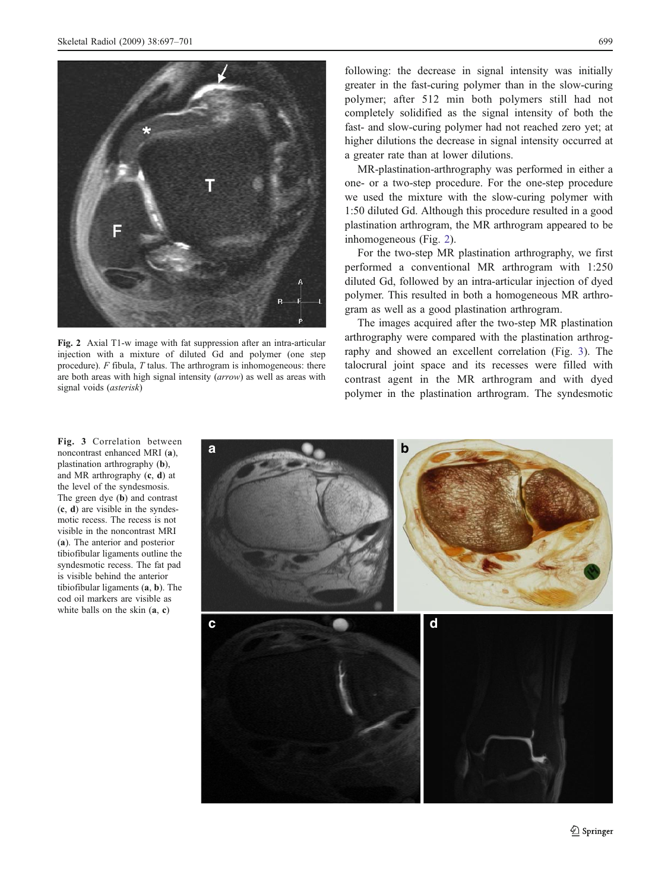<span id="page-2-0"></span>

Fig. 2 Axial T1-w image with fat suppression after an intra-articular injection with a mixture of diluted Gd and polymer (one step procedure).  $F$  fibula,  $T$  talus. The arthrogram is inhomogeneous: there are both areas with high signal intensity (arrow) as well as areas with signal voids (asterisk)

following: the decrease in signal intensity was initially greater in the fast-curing polymer than in the slow-curing polymer; after 512 min both polymers still had not completely solidified as the signal intensity of both the fast- and slow-curing polymer had not reached zero yet; at higher dilutions the decrease in signal intensity occurred at a greater rate than at lower dilutions.

MR-plastination-arthrography was performed in either a one- or a two-step procedure. For the one-step procedure we used the mixture with the slow-curing polymer with 1:50 diluted Gd. Although this procedure resulted in a good plastination arthrogram, the MR arthrogram appeared to be inhomogeneous (Fig. 2).

For the two-step MR plastination arthrography, we first performed a conventional MR arthrogram with 1:250 diluted Gd, followed by an intra-articular injection of dyed polymer. This resulted in both a homogeneous MR arthrogram as well as a good plastination arthrogram.

The images acquired after the two-step MR plastination arthrography were compared with the plastination arthrography and showed an excellent correlation (Fig. 3). The talocrural joint space and its recesses were filled with contrast agent in the MR arthrogram and with dyed polymer in the plastination arthrogram. The syndesmotic

noncontrast enhanced MRI (a), plastination arthrography (b), and MR arthrography (c, d) at the level of the syndesmosis. The green dye (b) and contrast (c, d) are visible in the syndesmotic recess. The recess is not visible in the noncontrast MRI (a). The anterior and posterior tibiofibular ligaments outline the syndesmotic recess. The fat pad is visible behind the anterior tibiofibular ligaments (a, b). The cod oil markers are visible as white balls on the skin  $(a, c)$ 

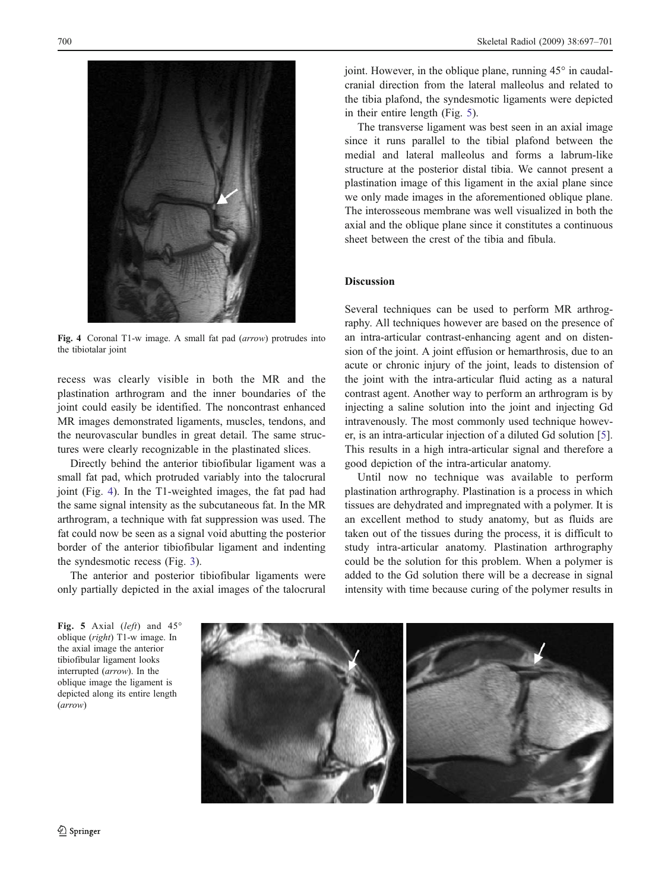

Fig. 4 Coronal T1-w image. A small fat pad (arrow) protrudes into the tibiotalar joint

recess was clearly visible in both the MR and the plastination arthrogram and the inner boundaries of the joint could easily be identified. The noncontrast enhanced MR images demonstrated ligaments, muscles, tendons, and the neurovascular bundles in great detail. The same structures were clearly recognizable in the plastinated slices.

Directly behind the anterior tibiofibular ligament was a small fat pad, which protruded variably into the talocrural joint (Fig. 4). In the T1-weighted images, the fat pad had the same signal intensity as the subcutaneous fat. In the MR arthrogram, a technique with fat suppression was used. The fat could now be seen as a signal void abutting the posterior border of the anterior tibiofibular ligament and indenting the syndesmotic recess (Fig. [3\)](#page-2-0).

The anterior and posterior tibiofibular ligaments were only partially depicted in the axial images of the talocrural

joint. However, in the oblique plane, running  $45^{\circ}$  in caudalcranial direction from the lateral malleolus and related to the tibia plafond, the syndesmotic ligaments were depicted in their entire length (Fig. 5).

The transverse ligament was best seen in an axial image since it runs parallel to the tibial plafond between the medial and lateral malleolus and forms a labrum-like structure at the posterior distal tibia. We cannot present a plastination image of this ligament in the axial plane since we only made images in the aforementioned oblique plane. The interosseous membrane was well visualized in both the axial and the oblique plane since it constitutes a continuous sheet between the crest of the tibia and fibula.

# Discussion

Several techniques can be used to perform MR arthrography. All techniques however are based on the presence of an intra-articular contrast-enhancing agent and on distension of the joint. A joint effusion or hemarthrosis, due to an acute or chronic injury of the joint, leads to distension of the joint with the intra-articular fluid acting as a natural contrast agent. Another way to perform an arthrogram is by injecting a saline solution into the joint and injecting Gd intravenously. The most commonly used technique however, is an intra-articular injection of a diluted Gd solution [[5\]](#page-4-0). This results in a high intra-articular signal and therefore a good depiction of the intra-articular anatomy.

Until now no technique was available to perform plastination arthrography. Plastination is a process in which tissues are dehydrated and impregnated with a polymer. It is an excellent method to study anatomy, but as fluids are taken out of the tissues during the process, it is difficult to study intra-articular anatomy. Plastination arthrography could be the solution for this problem. When a polymer is added to the Gd solution there will be a decrease in signal intensity with time because curing of the polymer results in

Fig. 5 Axial (left) and  $45^\circ$ oblique (right) T1-w image. In the axial image the anterior tibiofibular ligament looks interrupted (arrow). In the oblique image the ligament is depicted along its entire length (arrow)